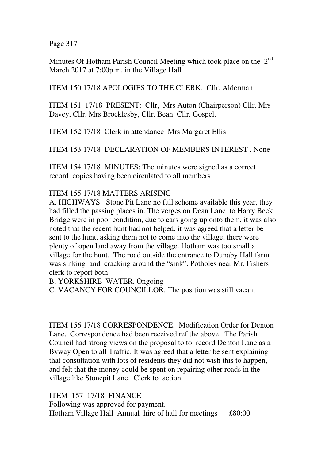Page 317

Minutes Of Hotham Parish Council Meeting which took place on the 2<sup>nd</sup> March 2017 at 7:00p.m. in the Village Hall

ITEM 150 17/18 APOLOGIES TO THE CLERK. Cllr. Alderman

ITEM 151 17/18 PRESENT: Cllr, Mrs Auton (Chairperson) Cllr. Mrs Davey, Cllr. Mrs Brocklesby, Cllr. Bean Cllr. Gospel.

ITEM 152 17/18 Clerk in attendance Mrs Margaret Ellis

ITEM 153 17/18 DECLARATION OF MEMBERS INTEREST . None

ITEM 154 17/18 MINUTES: The minutes were signed as a correct record copies having been circulated to all members

## ITEM 155 17/18 MATTERS ARISING

A, HIGHWAYS: Stone Pit Lane no full scheme available this year, they had filled the passing places in. The verges on Dean Lane to Harry Beck Bridge were in poor condition, due to cars going up onto them, it was also noted that the recent hunt had not helped, it was agreed that a letter be sent to the hunt, asking them not to come into the village, there were plenty of open land away from the village. Hotham was too small a village for the hunt. The road outside the entrance to Dunaby Hall farm was sinking and cracking around the "sink". Potholes near Mr. Fishers clerk to report both.

B. YORKSHIRE WATER. Ongoing

C. VACANCY FOR COUNCILLOR. The position was still vacant

ITEM 156 17/18 CORRESPONDENCE. Modification Order for Denton Lane. Correspondence had been received ref the above. The Parish Council had strong views on the proposal to to record Denton Lane as a Byway Open to all Traffic. It was agreed that a letter be sent explaining that consultation with lots of residents they did not wish this to happen, and felt that the money could be spent on repairing other roads in the village like Stonepit Lane. Clerk to action.

ITEM 157 17/18 FINANCE Following was approved for payment. Hotham Village Hall Annual hire of hall for meetings £80:00